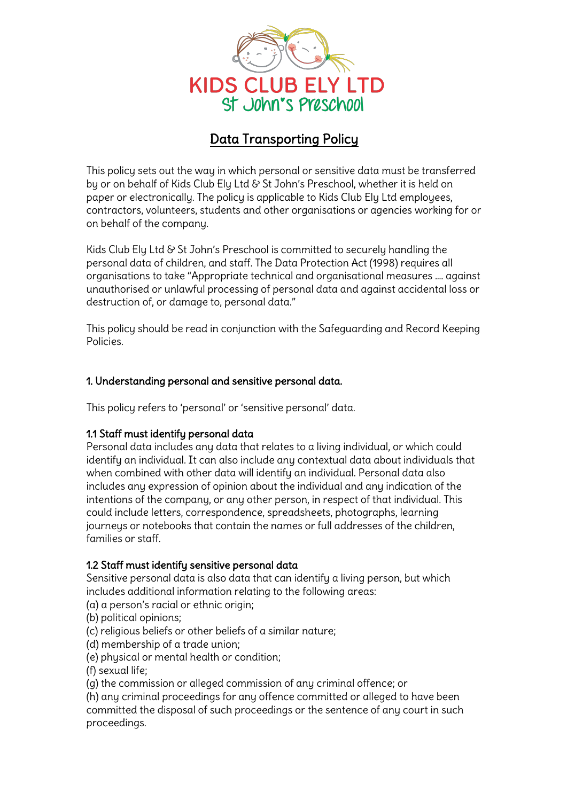

# Data Transporting Policy

This policy sets out the way in which personal or sensitive data must be transferred by or on behalf of Kids Club Ely Ltd & St John's Preschool, whether it is held on paper or electronically. The policy is applicable to Kids Club Ely Ltd employees, contractors, volunteers, students and other organisations or agencies working for or on behalf of the company.

Kids Club Ely Ltd & St John's Preschool is committed to securely handling the personal data of children, and staff. The Data Protection Act (1998) requires all organisations to take "Appropriate technical and organisational measures …. against unauthorised or unlawful processing of personal data and against accidental loss or destruction of, or damage to, personal data."

This policy should be read in conjunction with the Safeguarding and Record Keeping Policies.

### 1. Understanding personal and sensitive personal data.

This policy refers to 'personal' or 'sensitive personal' data.

### 1.1 Staff must identify personal data

Personal data includes any data that relates to a living individual, or which could identify an individual. It can also include any contextual data about individuals that when combined with other data will identify an individual. Personal data also includes any expression of opinion about the individual and any indication of the intentions of the company, or any other person, in respect of that individual. This could include letters, correspondence, spreadsheets, photographs, learning journeus or notebooks that contain the names or full addresses of the children, families or staff.

### 1.2 Staff must identify sensitive personal data

Sensitive personal data is also data that can identify a living person, but which includes additional information relating to the following areas:

(a) a person's racial or ethnic origin;

(b) political opinions;

(c) religious beliefs or other beliefs of a similar nature;

- (d) membership of a trade union;
- (e) physical or mental health or condition;

(f) sexual life;

(g) the commission or alleged commission of any criminal offence; or

(h) any criminal proceedings for any offence committed or alleged to have been committed the disposal of such proceedings or the sentence of any court in such proceedings.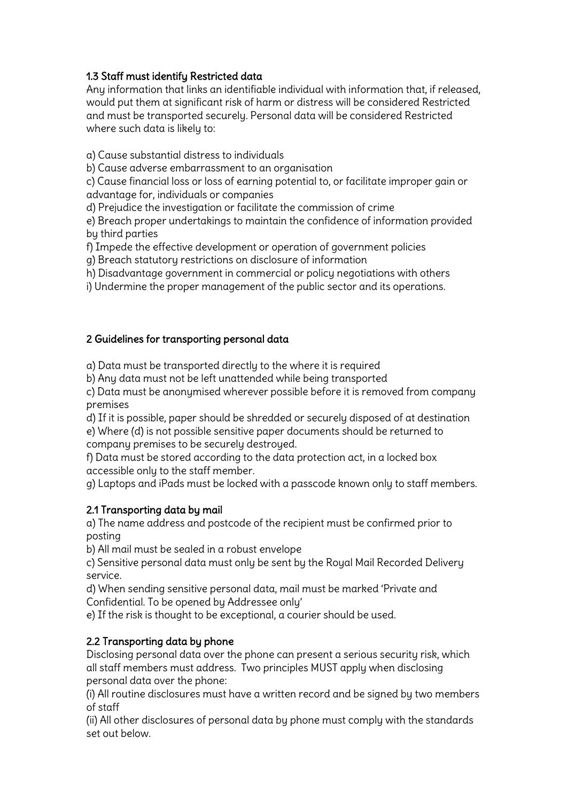## 1.3 Staff must identify Restricted data

Any information that links an identifiable individual with information that, if released, would put them at significant risk of harm or distress will be considered Restricted and must be transported securely. Personal data will be considered Restricted where such data is likely to:

a) Cause substantial distress to individuals

b) Cause adverse embarrassment to an organisation

c) Cause financial loss or loss of earning potential to, or facilitate improper gain or advantage for, individuals or companies

d) Prejudice the investigation or facilitate the commission of crime

e) Breach proper undertakings to maintain the confidence of information provided by third parties

f) Impede the effective development or operation of government policies

g) Breach statutory restrictions on disclosure of information

h) Disadvantage government in commercial or policy negotiations with others

i) Undermine the proper management of the public sector and its operations.

### 2 Guidelines for transporting personal data

a) Data must be transported directly to the where it is required

b) Any data must not be left unattended while being transported

c) Data must be anonymised wherever possible before it is removed from company premises

d) If it is possible, paper should be shredded or securely disposed of at destination e) Where (d) is not possible sensitive paper documents should be returned to company premises to be securely destroyed.

f) Data must be stored according to the data protection act, in a locked box accessible only to the staff member.

g) Laptops and iPads must be locked with a passcode known only to staff members.

### 2.1 Transporting data by mail

a) The name address and postcode of the recipient must be confirmed prior to posting

b) All mail must be sealed in a robust envelope

c) Sensitive personal data must only be sent by the Royal Mail Recorded Delivery service.

d) When sending sensitive personal data, mail must be marked 'Private and Confidential. To be opened by Addressee only'

e) If the risk is thought to be exceptional, a courier should be used.

## 2.2 Transporting data by phone

Disclosing personal data over the phone can present a serious security risk, which all staff members must address. Two principles MUST apply when disclosing personal data over the phone:

(i) All routine disclosures must have a written record and be signed by two members of staff

(ii) All other disclosures of personal data by phone must comply with the standards set out below.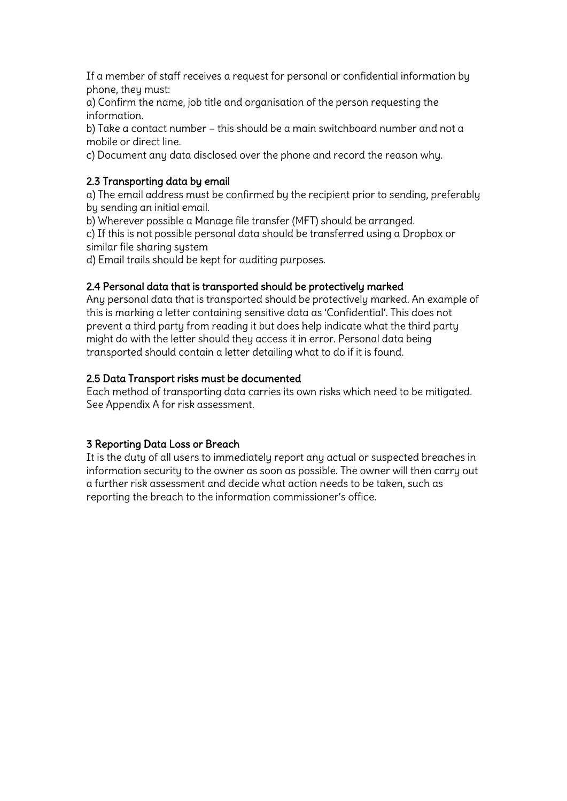If a member of staff receives a request for personal or confidential information by phone, they must:

a) Confirm the name, job title and organisation of the person requesting the information.

b) Take a contact number – this should be a main switchboard number and not a mobile or direct line.

c) Document any data disclosed over the phone and record the reason why.

### 2.3 Transporting data by email

a) The email address must be confirmed by the recipient prior to sending, preferably by sending an initial email.

b) Wherever possible a Manage file transfer (MFT) should be arranged.

c) If this is not possible personal data should be transferred using a Dropbox or similar file sharing sustem

d) Email trails should be kept for auditing purposes.

### 2.4 Personal data that is transported should be protectively marked

Any personal data that is transported should be protectively marked. An example of this is marking a letter containing sensitive data as 'Confidential'. This does not prevent a third party from reading it but does help indicate what the third party might do with the letter should they access it in error. Personal data being transported should contain a letter detailing what to do if it is found.

### 2.5 Data Transport risks must be documented

Each method of transporting data carries its own risks which need to be mitigated. See Appendix A for risk assessment.

### 3 Reporting Data Loss or Breach

It is the duty of all users to immediately report any actual or suspected breaches in information security to the owner as soon as possible. The owner will then carry out a further risk assessment and decide what action needs to be taken, such as reporting the breach to the information commissioner's office.